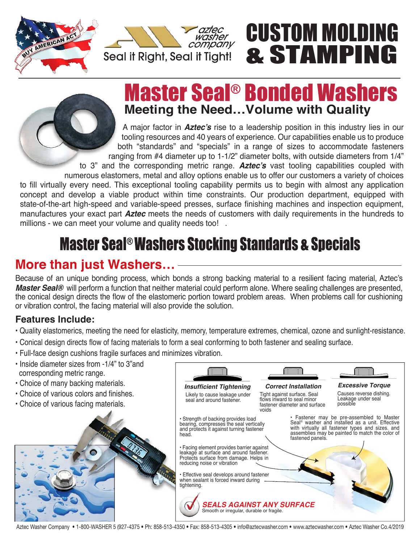



# CUSTOM MOLDING & STAMPING

**Excessive Torque**

**Correct Installation**

## Master Seal® Bonded Washers **Meeting the Need…Volume with Quality**

A major factor in **Aztec's** rise to a leadership position in this industry lies in our tooling resources and 40 years of experience. Our capabilities enable us to produce both "standards" and "specials" in a range of sizes to accommodate fasteners ranging from #4 diameter up to 1-1/2" diameter bolts, with outside diameters from 1/4" to 3" and the corresponding metric range. **Aztec's** vast tooling capabilities coupled with numerous elastomers, metal and alloy options enable us to offer our customers a variety of choices

to fill virtually every need. This exceptional tooling capability permits us to begin with almost any application concept and develop a viable product within time constraints. Our production department, equipped with state-of-the-art high-speed and variable-speed presses, surface finishing machines and inspection equipment, manufactures your exact part **Aztec** meets the needs of customers with daily requirements in the hundreds to millions - we can meet your volume and quality needs too!.

# **Master Seal<sup>®</sup> Washers Stocking Standards & Specials**

## More than just Washers...

Because of an unique bonding process, which bonds a strong backing material to a resilient facing material, Aztec's **Master Seal®** will perform a function that neither material could perform alone. Where sealing challenges are presented, the conical design directs the flow of the elastomeric portion toward problem areas. When problems call for cushioning or vibration control, the facing material will also provide the solution.

#### **Features Include:**

ï Quality elastomerics, meeting the need for elasticity, memory, temperature extremes, chemical, ozone and sunlight-resistance.

**Insufficient Tightening**

- Conical design directs flow of facing materials to form a seal conforming to both fastener and sealing surface.
- **· Full-face design cushions fragile surfaces and minimizes vibration.**
- Inside diameter sizes from -1/4" to 3" and corresponding metric range.
- Choice of many backing materials.
- Choice of various colors and finishes.
- Choice of various facing materials.



Aztec Washer Company • 1-800-WASHER 5 (927-4375 • Ph: 858-513-4350 • Fax: 858-513-4305 • info@aztecwasher.com • www.aztecwasher.com • Aztec Washer Co.4/2019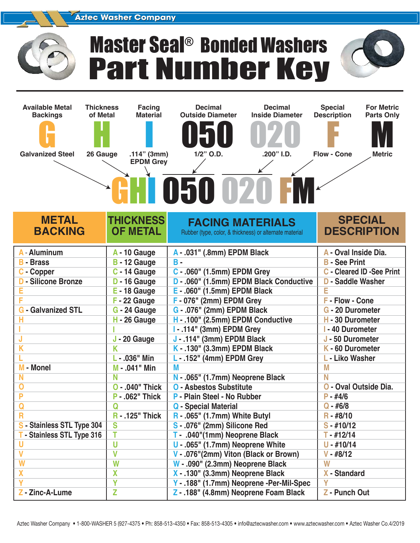#### **Aztec Washer Company**



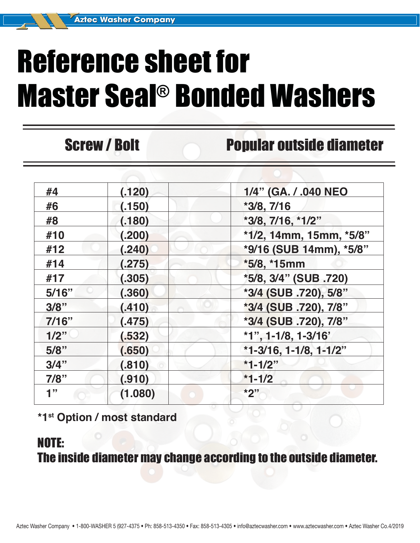# Reference sheet for Master Seal® Bonded Washers

## Screw / Bolt Popular outside diameter

| #4      | (.120)  | 1/4" (GA. / .040 NEO      |  |  |
|---------|---------|---------------------------|--|--|
| #6      | (.150)  | $*3/8, 7/16$              |  |  |
| #8      | (.180)  | *3/8, 7/16, *1/2"         |  |  |
| #10     | (.200)  | *1/2, 14mm, 15mm, *5/8"   |  |  |
| #12     | (.240)  | *9/16 (SUB 14mm), *5/8"   |  |  |
| #14     | (.275)  | *5/8, *15mm               |  |  |
| #17     | (.305)  | *5/8, 3/4" (SUB .720)     |  |  |
| 5/16"   | (.360)  | *3/4 (SUB .720), 5/8"     |  |  |
| 3/8"    | (.410)  | *3/4 (SUB .720), 7/8"     |  |  |
| 7/16"   | (.475)  | *3/4 (SUB .720), 7/8"     |  |  |
| 1/2"    | (.532)  | $*1$ ", 1-1/8, 1-3/16'    |  |  |
| 5/8"    | (.650)  | $*1-3/16$ , 1-1/8, 1-1/2" |  |  |
| $3/4$ " | (.810)  | $*1 - 1/2"$               |  |  |
| 7/8"    | (.910)  | $*1 - 1/2$                |  |  |
| 1"      | (1.080) | $*2"$                     |  |  |
|         |         |                           |  |  |

**\*1st Option / most standard**

### NOTE: The inside diameter may change according to the outside diameter.